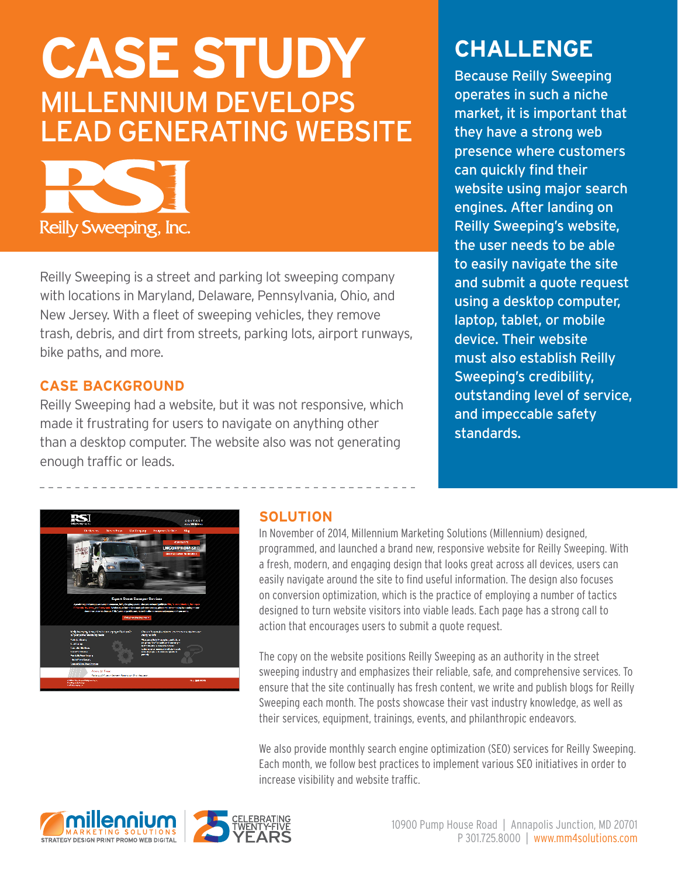# **CASE STUDY** MILLENNIUM DEVELOPS LEAD GENERATING WEBSITE



Reilly Sweeping is a street and parking lot sweeping company with locations in Maryland, Delaware, Pennsylvania, Ohio, and New Jersey. With a fleet of sweeping vehicles, they remove trash, debris, and dirt from streets, parking lots, airport runways, bike paths, and more.

### **CASE BACKGROUND**

Reilly Sweeping had a website, but it was not responsive, which made it frustrating for users to navigate on anything other than a desktop computer. The website also was not generating enough traffic or leads.

# **CHALLENGE**

Because Reilly Sweeping operates in such a niche market, it is important that they have a strong web presence where customers can quickly find their website using major search engines. After landing on Reilly Sweeping's website, the user needs to be able to easily navigate the site and submit a quote request using a desktop computer, laptop, tablet, or mobile device. Their website must also establish Reilly Sweeping's credibility, outstanding level of service, and impeccable safety standards.



## **SOLUTION**

In November of 2014, Millennium Marketing Solutions (Millennium) designed, programmed, and launched a brand new, responsive website for Reilly Sweeping. With a fresh, modern, and engaging design that looks great across all devices, users can easily navigate around the site to find useful information. The design also focuses on conversion optimization, which is the practice of employing a number of tactics designed to turn website visitors into viable leads. Each page has a strong call to action that encourages users to submit a quote request.

The copy on the website positions Reilly Sweeping as an authority in the street sweeping industry and emphasizes their reliable, safe, and comprehensive services. To ensure that the site continually has fresh content, we write and publish blogs for Reilly Sweeping each month. The posts showcase their vast industry knowledge, as well as their services, equipment, trainings, events, and philanthropic endeavors.

We also provide monthly search engine optimization (SEO) services for Reilly Sweeping. Each month, we follow best practices to implement various SEO initiatives in order to increase visibility and website traffic.